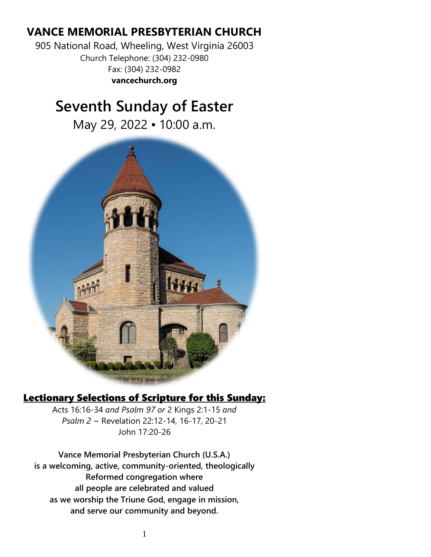## **VANCE MEMORIAL PRESBYTERIAN CHURCH**

905 National Road, Wheeling, West Virginia 26003 Church Telephone: (304) 232-0980 Fax: (304) 232-0982 **vancechurch.org**

# **Seventh Sunday of Easter**

May 29, 2022 ▪ 10:00 a.m.



## Lectionary Selections of Scripture for this Sunday:

Acts 16:16-34 *and Psalm 97 or* 2 Kings 2:1-15 *and Psalm 2* ~ Revelation 22:12-14, 16-17, 20-21 John 17:20-26

**Vance Memorial Presbyterian Church (U.S.A.) is a welcoming, active, community-oriented, theologically Reformed congregation where all people are celebrated and valued as we worship the Triune God, engage in mission, and serve our community and beyond.**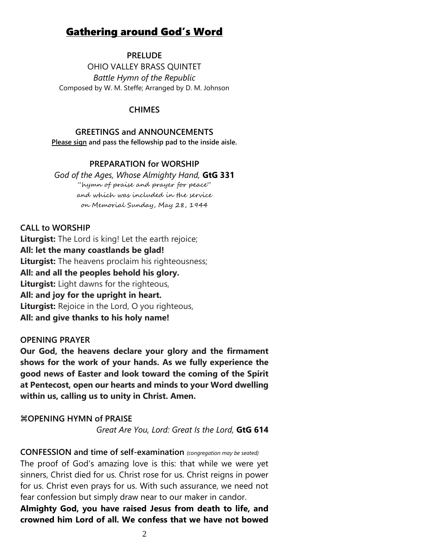## Gathering around God's Word

#### **PRELUDE**

OHIO VALLEY BRASS QUINTET *Battle Hymn of the Republic* Composed by W. M. Steffe; Arranged by D. M. Johnson

#### **CHIMES**

## **GREETINGS and ANNOUNCEMENTS**

**Please sign and pass the fellowship pad to the inside aisle.**

#### **PREPARATION for WORSHIP**

*God of the Ages, Whose Almighty Hand,* **GtG 331** "hymn of praise and prayer for peace" and which was included in the service on Memorial Sunday, May 28, 1944

#### **CALL to WORSHIP**

**Liturgist:** The Lord is king! Let the earth rejoice; **All: let the many coastlands be glad! Liturgist:** The heavens proclaim his righteousness; **All: and all the peoples behold his glory. Liturgist:** Light dawns for the righteous, **All: and joy for the upright in heart. Liturgist:** Rejoice in the Lord, O you righteous, **All: and give thanks to his holy name!**

#### **OPENING PRAYER**

**Our God, the heavens declare your glory and the firmament shows for the work of your hands. As we fully experience the good news of Easter and look toward the coming of the Spirit at Pentecost, open our hearts and minds to your Word dwelling within us, calling us to unity in Christ. Amen.**

#### **WOPENING HYMN of PRAISE**

*Great Are You, Lord: Great Is the Lord,* **GtG 614**

**CONFESSION and time of self-examination** *(congregation may be seated)* The proof of God's amazing love is this: that while we were yet sinners, Christ died for us. Christ rose for us. Christ reigns in power for us. Christ even prays for us. With such assurance, we need not fear confession but simply draw near to our maker in candor.

**Almighty God, you have raised Jesus from death to life, and crowned him Lord of all. We confess that we have not bowed**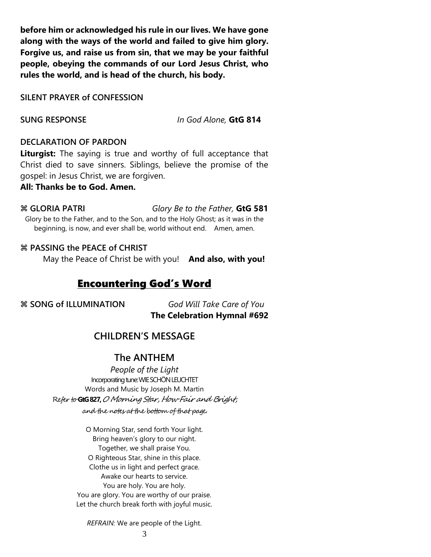**before him or acknowledged his rule in our lives. We have gone along with the ways of the world and failed to give him glory. Forgive us, and raise us from sin, that we may be your faithful people, obeying the commands of our Lord Jesus Christ, who rules the world, and is head of the church, his body.**

**SILENT PRAYER of CONFESSION**

**SUNG RESPONSE** *In God Alone,* **GtG 814**

#### **DECLARATION OF PARDON**

**Liturgist:** The saying is true and worthy of full acceptance that Christ died to save sinners. Siblings, believe the promise of the gospel: in Jesus Christ, we are forgiven.

**All: Thanks be to God. Amen.**

## **GLORIA PATRI** *Glory Be to the Father,* **GtG 581**

Glory be to the Father, and to the Son, and to the Holy Ghost; as it was in the beginning, is now, and ever shall be, world without end. Amen, amen.

## **PASSING the PEACE of CHRIST**

May the Peace of Christ be with you! **And also, with you!**

## Encountering God's Word

 **SONG of ILLUMINATION** *God Will Take Care of You* **The Celebration Hymnal #692**

## **CHILDREN'S MESSAGE**

## **The ANTHEM**

*People of the Light* Incorporating tune: WIE SCHÖN LEUCHTET Words and Music by Joseph M. Martin Refer to**GtG 827,** O Morning Star, How Fair and Bright, and the notes at the bottom of that page.

> O Morning Star, send forth Your light. Bring heaven's glory to our night. Together, we shall praise You. O Righteous Star, shine in this place. Clothe us in light and perfect grace. Awake our hearts to service. You are holy. You are holy. You are glory. You are worthy of our praise. Let the church break forth with joyful music.

*REFRAIN:* We are people of the Light.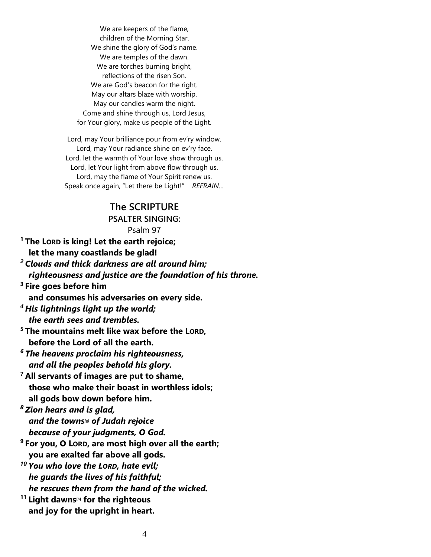We are keepers of the flame, children of the Morning Star. We shine the glory of God's name. We are temples of the dawn. We are torches burning bright, reflections of the risen Son. We are God's beacon for the right. May our altars blaze with worship. May our candles warm the night. Come and shine through us, Lord Jesus, for Your glory, make us people of the Light.

Lord, may Your brilliance pour from ev'ry window. Lord, may Your radiance shine on ev'ry face. Lord, let the warmth of Your love show through us. Lord, let Your light from above flow through us. Lord, may the flame of Your Spirit renew us. Speak once again, "Let there be Light!" *REFRAIN…*

#### **The SCRIPTURE**

#### **PSALTER SINGING:**

**<sup>1</sup> The LORD is king! Let the earth rejoice;**

Psalm 97

**let the many coastlands be glad!** *<sup>2</sup> Clouds and thick darkness are all around him; righteousness and justice are the foundation of his throne.* **<sup>3</sup> Fire goes before him and consumes his adversaries on every side.** *<sup>4</sup> His lightnings light up the world; the earth sees and trembles.* **<sup>5</sup> The mountains melt like wax before the LORD, before the Lord of all the earth.** *<sup>6</sup> The heavens proclaim his righteousness, and all the peoples behold his glory.* **<sup>7</sup> All servants of images are put to shame, those who make their boast in worthless idols; all gods bow down before him.** *<sup>8</sup> Zion hears and is glad, and the towns[\[a\]](https://www.biblegateway.com/passage/?search=Psalm+97&version=NRSVUE#fen-NRSVUE-15487a) of Judah rejoice because of your judgments, O God.* **<sup>9</sup> For you, O LORD, are most high over all the earth; you are exalted far above all gods.** *<sup>10</sup> You who love the LORD, hate evil; he guards the lives of his faithful; he rescues them from the hand of the wicked.* **<sup>11</sup> Light dawns[\[b\]](https://www.biblegateway.com/passage/?search=Psalm+97&version=NRSVUE#fen-NRSVUE-15490b) for the righteous and joy for the upright in heart.**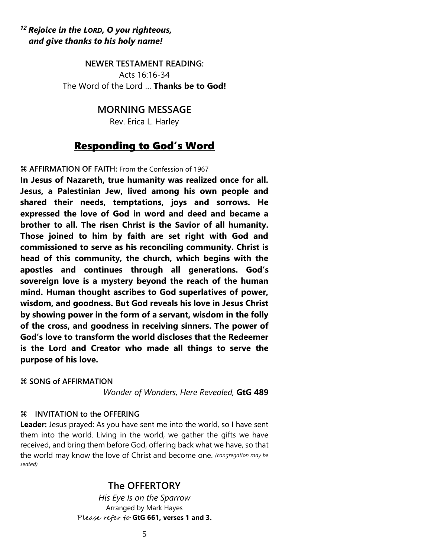## *<sup>12</sup> Rejoice in the LORD, O you righteous, and give thanks to his holy name!*

**NEWER TESTAMENT READING:** Acts 16:16-34 The Word of the Lord … **Thanks be to God!**

## **MORNING MESSAGE**

Rev. Erica L. Harley

## Responding to God's Word

**AFFIRMATION OF FAITH:** From the Confession of 1967

**In Jesus of Nazareth, true humanity was realized once for all. Jesus, a Palestinian Jew, lived among his own people and shared their needs, temptations, joys and sorrows. He expressed the love of God in word and deed and became a brother to all. The risen Christ is the Savior of all humanity. Those joined to him by faith are set right with God and commissioned to serve as his reconciling community. Christ is head of this community, the church, which begins with the apostles and continues through all generations. God's sovereign love is a mystery beyond the reach of the human mind. Human thought ascribes to God superlatives of power, wisdom, and goodness. But God reveals his love in Jesus Christ by showing power in the form of a servant, wisdom in the folly of the cross, and goodness in receiving sinners. The power of God's love to transform the world discloses that the Redeemer is the Lord and Creator who made all things to serve the purpose of his love.** 

**SONG of AFFIRMATION** 

*Wonder of Wonders, Here Revealed,* **GtG 489**

#### **INVITATION to the OFFERING**

Leader: Jesus prayed: As you have sent me into the world, so I have sent them into the world. Living in the world, we gather the gifts we have received, and bring them before God, offering back what we have, so that the world may know the love of Christ and become one. *(congregation may be seated)*

## **The OFFERTORY**

*His Eye Is on the Sparrow* Arranged by Mark Hayes Please refer to **GtG 661, verses 1 and 3.**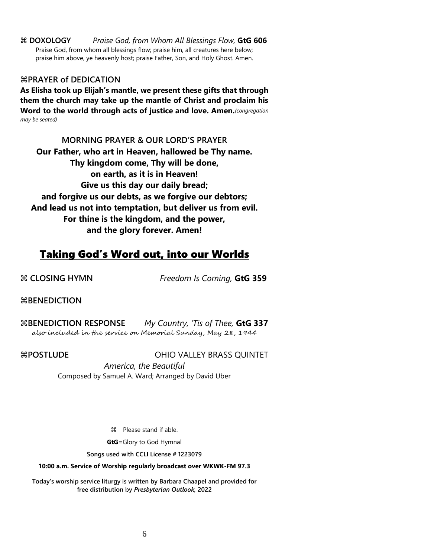**DOXOLOGY** *Praise God, from Whom All Blessings Flow,* **GtG 606** Praise God, from whom all blessings flow; praise him, all creatures here below; praise him above, ye heavenly host; praise Father, Son, and Holy Ghost. Amen.

### **PRAYER of DEDICATION**

**As Elisha took up Elijah's mantle, we present these gifts that through them the church may take up the mantle of Christ and proclaim his Word to the world through acts of justice and love. Amen.***(congregation may be seated)*

**MORNING PRAYER & OUR LORD'S PRAYER Our Father, who art in Heaven, hallowed be Thy name. Thy kingdom come, Thy will be done, on earth, as it is in Heaven! Give us this day our daily bread; and forgive us our debts, as we forgive our debtors; And lead us not into temptation, but deliver us from evil. For thine is the kingdom, and the power, and the glory forever. Amen!**

## Taking God's Word out, into our Worlds

**CLOSING HYMN** *Freedom Is Coming,* **GtG 359**

**BENEDICTION**

**BENEDICTION RESPONSE** *My Country, 'Tis of Thee,* **GtG 337**  also included in the service on Memorial Sunday, May 28, 1944

**POSTLUDE POSTLUDE OHIO VALLEY BRASS QUINTET** *America, the Beautiful* Composed by Samuel A. Ward; Arranged by David Uber

Please stand if able.

**GtG**=Glory to God Hymnal

**Songs used with CCLI License # 1223079**

#### **10:00 a.m. Service of Worship regularly broadcast over WKWK-FM 97.3**

**Today's worship service liturgy is written by Barbara Chaapel and provided for free distribution by** *Presbyterian Outlook,* **2022**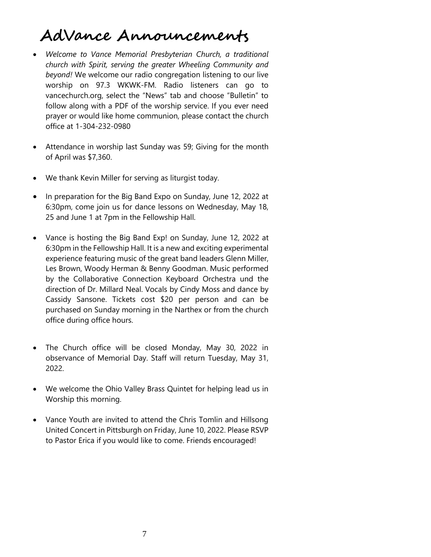# **AdVance Announcements**

- *Welcome to Vance Memorial Presbyterian Church, a traditional church with Spirit, serving the greater Wheeling Community and beyond!* We welcome our radio congregation listening to our live worship on 97.3 WKWK-FM. Radio listeners can go to vancechurch.org, select the "News" tab and choose "Bulletin" to follow along with a PDF of the worship service. If you ever need prayer or would like home communion, please contact the church office at 1-304-232-0980
- Attendance in worship last Sunday was 59; Giving for the month of April was \$7,360.
- We thank Kevin Miller for serving as liturgist today.
- In preparation for the Big Band Expo on Sunday, June 12, 2022 at 6:30pm, come join us for dance lessons on Wednesday, May 18, 25 and June 1 at 7pm in the Fellowship Hall.
- Vance is hosting the Big Band Exp! on Sunday, June 12, 2022 at 6:30pm in the Fellowship Hall. It is a new and exciting experimental experience featuring music of the great band leaders Glenn Miller, Les Brown, Woody Herman & Benny Goodman. Music performed by the Collaborative Connection Keyboard Orchestra und the direction of Dr. Millard Neal. Vocals by Cindy Moss and dance by Cassidy Sansone. Tickets cost \$20 per person and can be purchased on Sunday morning in the Narthex or from the church office during office hours.
- The Church office will be closed Monday, May 30, 2022 in observance of Memorial Day. Staff will return Tuesday, May 31, 2022.
- We welcome the Ohio Valley Brass Quintet for helping lead us in Worship this morning.
- Vance Youth are invited to attend the Chris Tomlin and Hillsong United Concert in Pittsburgh on Friday, June 10, 2022. Please RSVP to Pastor Erica if you would like to come. Friends encouraged!